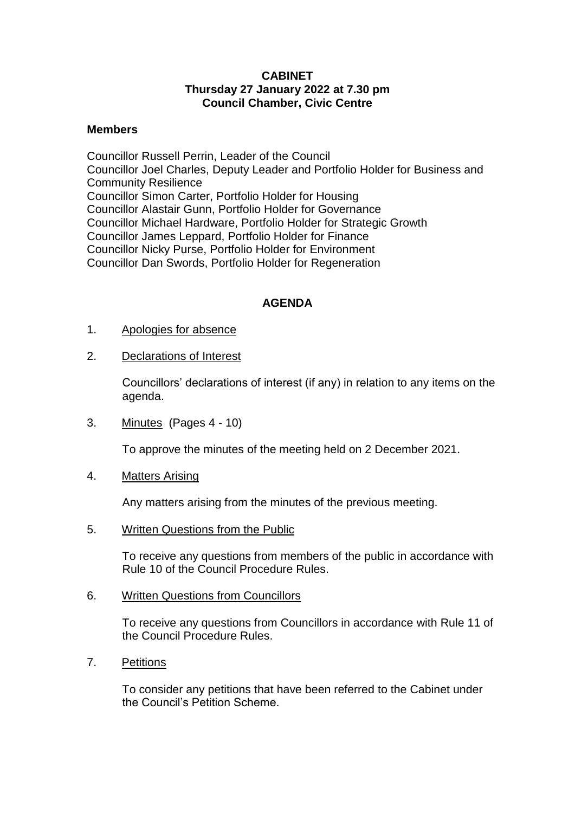## **CABINET Thursday 27 January 2022 at 7.30 pm Council Chamber, Civic Centre**

## **Members**

Councillor Russell Perrin, Leader of the Council Councillor Joel Charles, Deputy Leader and Portfolio Holder for Business and Community Resilience Councillor Simon Carter, Portfolio Holder for Housing Councillor Alastair Gunn, Portfolio Holder for Governance Councillor Michael Hardware, Portfolio Holder for Strategic Growth Councillor James Leppard, Portfolio Holder for Finance Councillor Nicky Purse, Portfolio Holder for Environment Councillor Dan Swords, Portfolio Holder for Regeneration

## **AGENDA**

- 1. Apologies for absence
- 2. Declarations of Interest

Councillors' declarations of interest (if any) in relation to any items on the agenda.

3. Minutes (Pages 4 - 10)

To approve the minutes of the meeting held on 2 December 2021.

4. Matters Arising

Any matters arising from the minutes of the previous meeting.

5. Written Questions from the Public

To receive any questions from members of the public in accordance with Rule 10 of the Council Procedure Rules.

6. Written Questions from Councillors

To receive any questions from Councillors in accordance with Rule 11 of the Council Procedure Rules.

7. Petitions

To consider any petitions that have been referred to the Cabinet under the Council's Petition Scheme.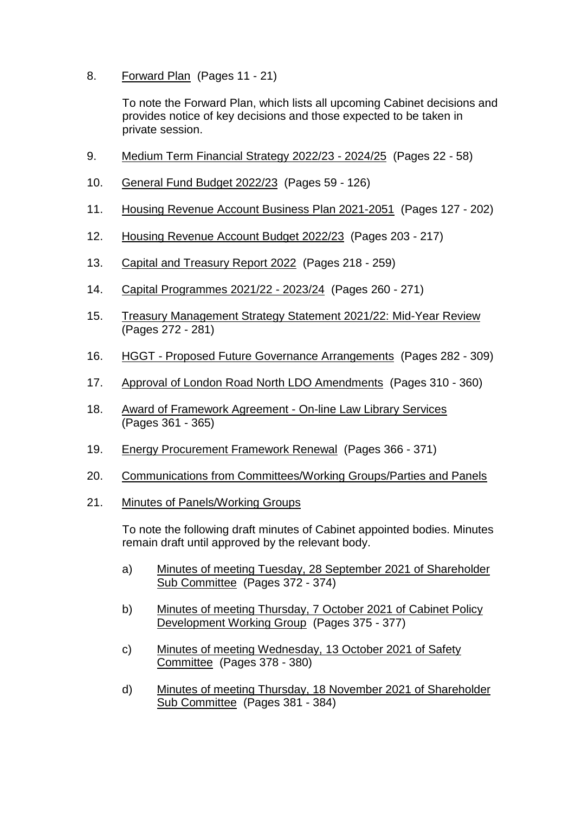8. Forward Plan (Pages 11 - 21)

To note the Forward Plan, which lists all upcoming Cabinet decisions and provides notice of key decisions and those expected to be taken in private session.

- 9. Medium Term Financial Strategy 2022/23 2024/25 (Pages 22 58)
- 10. General Fund Budget 2022/23 (Pages 59 126)
- 11. Housing Revenue Account Business Plan 2021-2051 (Pages 127 202)
- 12. Housing Revenue Account Budget 2022/23 (Pages 203 217)
- 13. Capital and Treasury Report 2022 (Pages 218 259)
- 14. Capital Programmes 2021/22 2023/24 (Pages 260 271)
- 15. Treasury Management Strategy Statement 2021/22: Mid-Year Review (Pages 272 - 281)
- 16. HGGT Proposed Future Governance Arrangements (Pages 282 309)
- 17. Approval of London Road North LDO Amendments (Pages 310 360)
- 18. Award of Framework Agreement On-line Law Library Services (Pages 361 - 365)
- 19. Energy Procurement Framework Renewal (Pages 366 371)
- 20. Communications from Committees/Working Groups/Parties and Panels
- 21. Minutes of Panels/Working Groups

To note the following draft minutes of Cabinet appointed bodies. Minutes remain draft until approved by the relevant body.

- a) Minutes of meeting Tuesday, 28 September 2021 of Shareholder Sub Committee (Pages 372 - 374)
- b) Minutes of meeting Thursday, 7 October 2021 of Cabinet Policy Development Working Group (Pages 375 - 377)
- c) Minutes of meeting Wednesday, 13 October 2021 of Safety Committee (Pages 378 - 380)
- d) Minutes of meeting Thursday, 18 November 2021 of Shareholder Sub Committee (Pages 381 - 384)